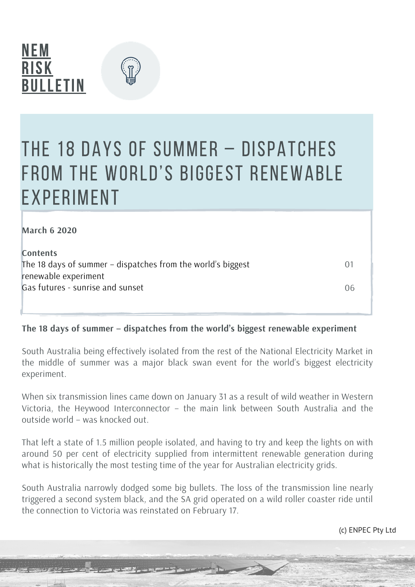



### The 18 days of summer – dispatches from the world's biggest renewable **EXPERIMENT**

| <b>March 6 2020</b>                                         |     |
|-------------------------------------------------------------|-----|
| <b>Contents</b>                                             |     |
| The 18 days of summer – dispatches from the world's biggest | ( ) |
| renewable experiment                                        |     |
| Gas futures - sunrise and sunset                            | 06  |

### **The 18 days of summer – dispatches from the world's biggest renewable experiment**

South Australia being effectively isolated from the rest of the National Electricity Market in the middle of summer was a major black swan event for the world's biggest electricity experiment.

When six transmission lines came down on January 31 as a result of wild weather in Western Victoria, the Heywood Interconnector – the main link between South Australia and the outside world – was knocked out.

That left a state of 1.5 million people isolated, and having to try and keep the lights on with around 50 per cent of electricity supplied from intermittent renewable generation during what is historically the most testing time of the year for Australian electricity grids.

South Australia narrowly dodged some big bullets. The loss of the transmission line nearly triggered a second system black, and the SA grid operated on a wild roller coaster ride until the connection to Victoria was reinstated on February 17.

(c) ENPEC Pty Ltd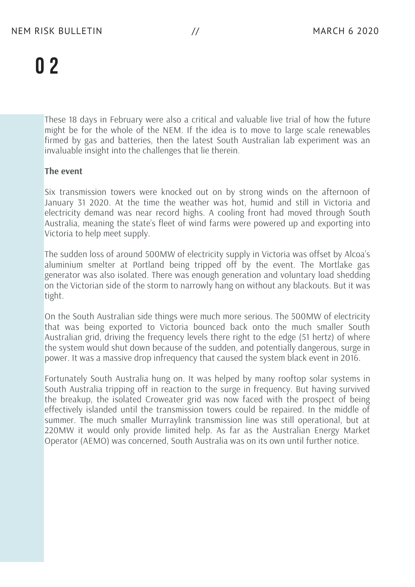These 18 days in February were also a critical and valuable live trial of how the future might be for the whole of the NEM. If the idea is to move to large scale renewables firmed by gas and batteries, then the latest South Australian lab experiment was an invaluable insight into the challenges that lie therein.

#### **The event**

Six transmission towers were knocked out on by strong winds on the afternoon of January 31 2020. At the time the weather was hot, humid and still in Victoria and electricity demand was near record highs. A cooling front had moved through South Australia, meaning the state's fleet of wind farms were powered up and exporting into Victoria to help meet supply.

The sudden loss of around 500MW of electricity supply in Victoria was offset by Alcoa's aluminium smelter at Portland being tripped off by the event. The Mortlake gas generator was also isolated. There was enough generation and voluntary load shedding on the Victorian side of the storm to narrowly hang on without any blackouts. But it was tight.

On the South Australian side things were much more serious. The 500MW of electricity that was being exported to Victoria bounced back onto the much smaller South Australian grid, driving the frequency levels there right to the edge (51 hertz) of where the system would shut down because of the sudden, and potentially dangerous, surge in power. It was a massive drop infrequency that caused the system black event in 2016.

Fortunately South Australia hung on. It was helped by many rooftop solar systems in South Australia tripping off in reaction to the surge in frequency. But having survived the breakup, the isolated Croweater grid was now faced with the prospect of being effectively islanded until the transmission towers could be repaired. In the middle of summer. The much smaller Murraylink transmission line was still operational, but at 220MW it would only provide limited help. As far as the Australian Energy Market Operator (AEMO) was concerned, South Australia was on its own until further notice.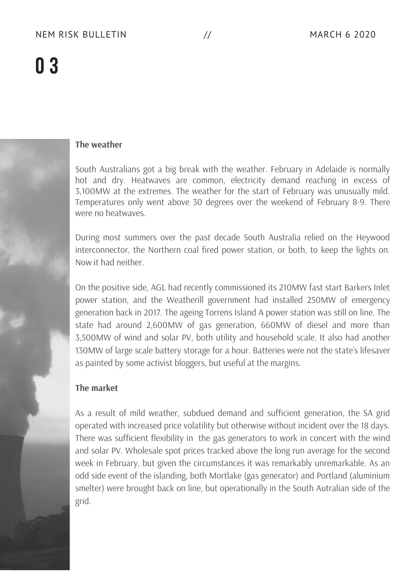### **The weather**

South Australians got a big break with the weather. February in Adelaide is normally hot and dry. Heatwaves are common, electricity demand reaching in excess of 3,100MW at the extremes. The weather for the start of February was unusually mild. Temperatures only went above 30 degrees over the weekend of February 8-9. There were no heatwaves.

During most summers over the past decade South Australia relied on the Heywood interconnector, the Northern coal fired power station, or both, to keep the lights on. Now it had neither.

On the positive side, AGL had recently commissioned its 210MW fast start Barkers Inlet power station, and the Weatherill government had installed 250MW of emergency generation back in 2017. The ageing Torrens Island A power station was still on line. The state had around 2,600MW of gas generation, 660MW of diesel and more than 3,500MW of wind and solar PV, both utility and household scale. It also had another 130MW of large scale battery storage for a hour. Batteries were not the state's lifesaver as painted by some activist bloggers, but useful at the margins.

#### **The market**

As a result of mild weather, subdued demand and sufficient generation, the SA grid operated with increased price volatility but otherwise without incident over the 18 days. There was sufficient flexibility in the gas generators to work in concert with the wind and solar PV. Wholesale spot prices tracked above the long run average for the second week in February, but given the circumstances it was remarkably unremarkable. As an odd side event of the islanding, both Mortlake (gas generator) and Portland (aluminium smelter) were brought back on line, but operationally in the South Autralian side of the grid.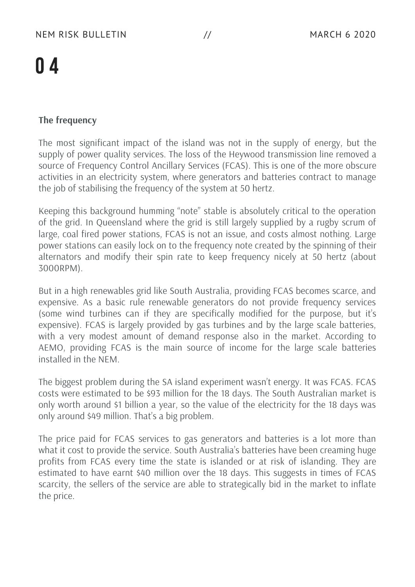### **The frequency**

The most significant impact of the island was not in the supply of energy, but the supply of power quality services. The loss of the Heywood transmission line removed a source of Frequency Control Ancillary Services (FCAS). This is one of the more obscure activities in an electricity system, where generators and batteries contract to manage the job of stabilising the frequency of the system at 50 hertz.

Keeping this background humming "note" stable is absolutely critical to the operation of the grid. In Queensland where the grid is still largely supplied by a rugby scrum of large, coal fired power stations, FCAS is not an issue, and costs almost nothing. Large power stations can easily lock on to the frequency note created by the spinning of their alternators and modify their spin rate to keep frequency nicely at 50 hertz (about 3000RPM).

But in a high renewables grid like South Australia, providing FCAS becomes scarce, and expensive. As a basic rule renewable generators do not provide frequency services (some wind turbines can if they are specifically modified for the purpose, but it's expensive). FCAS is largely provided by gas turbines and by the large scale batteries, with a very modest amount of demand response also in the market. According to AEMO, providing FCAS is the main source of income for the large scale batteries installed in the NEM.

The biggest problem during the SA island experiment wasn't energy. It was FCAS. FCAS costs were estimated to be \$93 million for the 18 days. The South Australian market is only worth around \$1 billion a year, so the value of the electricity for the 18 days was only around \$49 million. That's a big problem.

The price paid for FCAS services to gas generators and batteries is a lot more than what it cost to provide the service. South Australia's batteries have been creaming huge profits from FCAS every time the state is islanded or at risk of islanding. They are estimated to have earnt \$40 million over the 18 days. This suggests in times of FCAS scarcity, the sellers of the service are able to strategically bid in the market to inflate the price.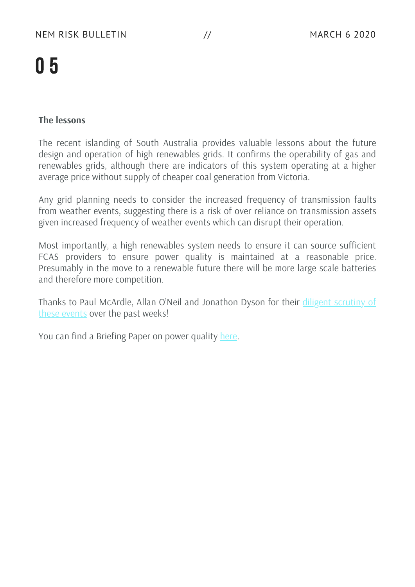### **The lessons**

The recent islanding of South Australia provides valuable lessons about the future design and operation of high renewables grids. It confirms the operability of gas and renewables grids, although there are indicators of this system operating at a higher average price without supply of cheaper coal generation from Victoria.

Any grid planning needs to consider the increased frequency of transmission faults from weather events, suggesting there is a risk of over reliance on transmission assets given increased frequency of weather events which can disrupt their operation.

Most importantly, a high renewables system needs to ensure it can source sufficient FCAS providers to ensure power quality is maintained at a reasonable price. Presumably in the move to a renewable future there will be more large scale batteries and therefore more competition.

Thanks to Paul McArdle, Allan O'Neil and [Jonathon](http://www.wattclarity.com.au/) Dyson for their diligent scrutiny of these events over the past weeks!

You can find a Briefing Paper on power quality [here.](https://nemriskbulletin.com.au/briefing/)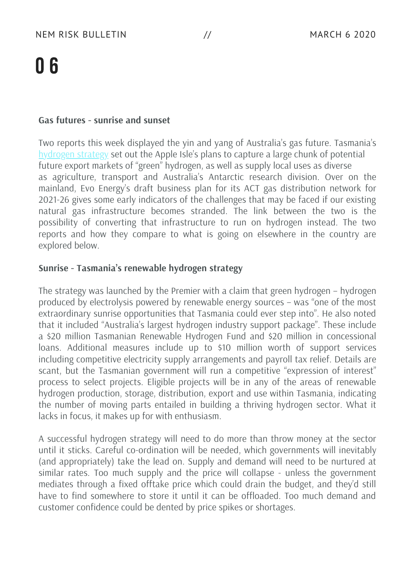#### **Gas futures - sunrise and sunset**

Two reports this week displayed the yin and yang of Australia's gas future. Tasmania's [hydrogen](https://www.stategrowth.tas.gov.au/energy_and_resources/energy/hydrogen) strategy set out the Apple Isle's plans to capture a large chunk of potential future export markets of "green" hydrogen, as well as supply local uses as diverse as agriculture, transport and Australia's Antarctic research division. Over on the mainland, Evo Energy's draft business plan for its ACT gas distribution network for 2021-26 gives some early indicators of the challenges that may be faced if our existing natural gas infrastructure becomes stranded. The link between the two is the possibility of converting that infrastructure to run on hydrogen instead. The two reports and how they compare to what is going on elsewhere in the country are explored below.

#### **Sunrise - Tasmania's renewable hydrogen strategy**

The strategy was launched by the Premier with a claim that green hydrogen – hydrogen produced by electrolysis powered by renewable energy sources – was "one of the most extraordinary sunrise opportunities that Tasmania could ever step into". He also noted that it included "Australia's largest hydrogen industry support package". These include a \$20 million Tasmanian Renewable Hydrogen Fund and \$20 million in concessional loans. Additional measures include up to \$10 million worth of support services including competitive electricity supply arrangements and payroll tax relief. Details are scant, but the Tasmanian government will run a competitive "expression of interest" process to select projects. Eligible projects will be in any of the areas of renewable hydrogen production, storage, distribution, export and use within Tasmania, indicating the number of moving parts entailed in building a thriving hydrogen sector. What it lacks in focus, it makes up for with enthusiasm.

A successful hydrogen strategy will need to do more than throw money at the sector until it sticks. Careful co-ordination will be needed, which governments will inevitably (and appropriately) take the lead on. Supply and demand will need to be nurtured at similar rates. Too much supply and the price will collapse - unless the government mediates through a fixed offtake price which could drain the budget, and they'd still have to find somewhere to store it until it can be offloaded. Too much demand and customer confidence could be dented by price spikes or shortages.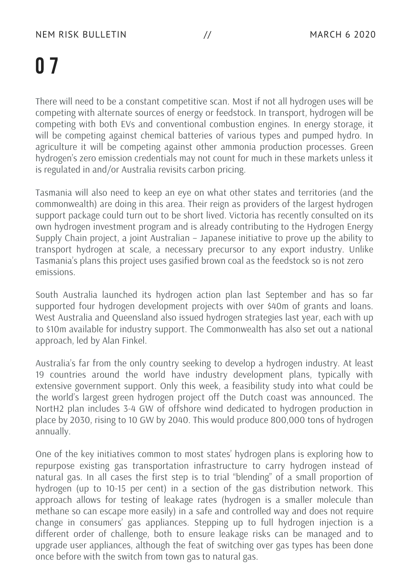There will need to be a constant competitive scan. Most if not all hydrogen uses will be competing with alternate sources of energy or feedstock. In transport, hydrogen will be competing with both EVs and conventional combustion engines. In energy storage, it will be competing against chemical batteries of various types and pumped hydro. In agriculture it will be competing against other ammonia production processes. Green hydrogen's zero emission credentials may not count for much in these markets unless it is regulated in and/or Australia revisits carbon pricing.

Tasmania will also need to keep an eye on what other states and territories (and the commonwealth) are doing in this area. Their reign as providers of the largest hydrogen support package could turn out to be short lived. Victoria has recently consulted on its own hydrogen investment program and is already contributing to the Hydrogen Energy Supply Chain project, a joint Australian – Japanese initiative to prove up the ability to transport hydrogen at scale, a necessary precursor to any export industry. Unlike Tasmania's plans this project uses gasified brown coal as the feedstock so is not zero emissions.

South Australia launched its hydrogen action plan last September and has so far supported four hydrogen development projects with over \$40m of grants and loans. West Australia and Queensland also issued hydrogen strategies last year, each with up to \$10m available for industry support. The Commonwealth has also set out a national approach, led by Alan Finkel.

Australia's far from the only country seeking to develop a hydrogen industry. At least 19 countries around the world have industry development plans, typically with extensive government support. Only this week, a feasibility study into what could be the world's largest green hydrogen project off the Dutch coast was announced. The NortH2 plan includes 3-4 GW of offshore wind dedicated to hydrogen production in place by 2030, rising to 10 GW by 2040. This would produce 800,000 tons of hydrogen annually.

One of the key initiatives common to most states' hydrogen plans is exploring how to repurpose existing gas transportation infrastructure to carry hydrogen instead of natural gas. In all cases the first step is to trial "blending" of a small proportion of hydrogen (up to 10-15 per cent) in a section of the gas distribution network. This approach allows for testing of leakage rates (hydrogen is a smaller molecule than methane so can escape more easily) in a safe and controlled way and does not require change in consumers' gas appliances. Stepping up to full hydrogen injection is a different order of challenge, both to ensure leakage risks can be managed and to upgrade user appliances, although the feat of switching over gas types has been done once before with the switch from town gas to natural gas.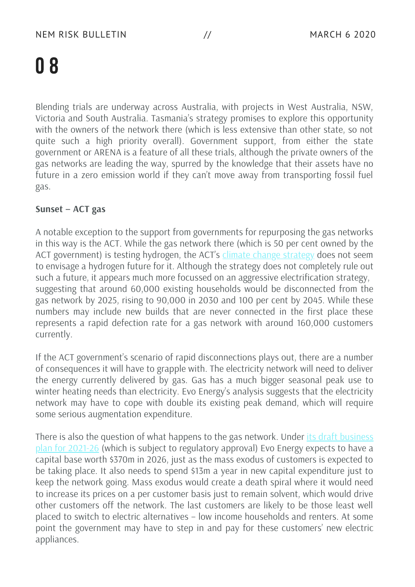Blending trials are underway across Australia, with projects in West Australia, NSW, Victoria and South Australia. Tasmania's strategy promises to explore this opportunity with the owners of the network there (which is less extensive than other state, so not quite such a high priority overall). Government support, from either the state government or ARENA is a feature of all these trials, although the private owners of the gas networks are leading the way, spurred by the knowledge that their assets have no future in a zero emission world if they can't move away from transporting fossil fuel gas.

### **Sunset – ACT gas**

A notable exception to the support from governments for repurposing the gas networks in this way is the ACT. While the gas network there (which is 50 per cent owned by the ACT government) is testing hydrogen, the ACT's climate change [strategy](https://www.environment.act.gov.au/__data/assets/pdf_file/0003/1414641/ACT-Climate-Change-Strategy-2019-2025.pdf/_recache) does not seem to envisage a hydrogen future for it. Although the strategy does not completely rule out such a future, it appears much more focussed on an aggressive electrification strategy, suggesting that around 60,000 existing households would be disconnected from the gas network by 2025, rising to 90,000 in 2030 and 100 per cent by 2045. While these numbers may include new builds that are never connected in the first place these represents a rapid defection rate for a gas network with around 160,000 customers currently.

If the ACT government's scenario of rapid disconnections plays out, there are a number of consequences it will have to grapple with. The electricity network will need to deliver the energy currently delivered by gas. Gas has a much bigger seasonal peak use to winter heating needs than electricity. Evo Energy's analysis suggests that the electricity network may have to cope with double its existing peak demand, which will require some serious augmentation expenditure.

There is also the question of what happens to the gas network. Under its draft business plan for 2021-26 (which is subject to [regulatory](https://www.evoenergy.com.au/gas-network-draft-plan) approval) Evo Energy expects to have a capital base worth \$370m in 2026, just as the mass exodus of customers is expected to be taking place. It also needs to spend \$13m a year in new capital expenditure just to keep the network going. Mass exodus would create a death spiral where it would need to increase its prices on a per customer basis just to remain solvent, which would drive other customers off the network. The last customers are likely to be those least well placed to switch to electric alternatives – low income households and renters. At some point the government may have to step in and pay for these customers' new electric appliances.